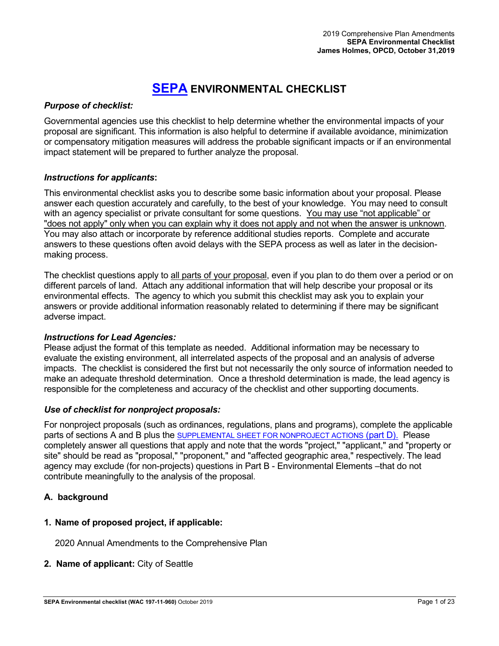# **[SEPA](http://www.ecy.wa.gov/programs/sea/sepa/e-review.html) ENVIRONMENTAL CHECKLIST**

## *Purpose of checklist:*

Governmental agencies use this checklist to help determine whether the environmental impacts of your proposal are significant. This information is also helpful to determine if available avoidance, minimization or compensatory mitigation measures will address the probable significant impacts or if an environmental impact statement will be prepared to further analyze the proposal.

## *Instructions for applicants***:**

This environmental checklist asks you to describe some basic information about your proposal. Please answer each question accurately and carefully, to the best of your knowledge. You may need to consult with an agency specialist or private consultant for some questions. You may use "not applicable" or "does not apply" only when you can explain why it does not apply and not when the answer is unknown. You may also attach or incorporate by reference additional studies reports. Complete and accurate answers to these questions often avoid delays with the SEPA process as well as later in the decisionmaking process.

The checklist questions apply to all parts of your proposal, even if you plan to do them over a period or on different parcels of land. Attach any additional information that will help describe your proposal or its environmental effects. The agency to which you submit this checklist may ask you to explain your answers or provide additional information reasonably related to determining if there may be significant adverse impact.

## *Instructions for Lead Agencies:*

Please adjust the format of this template as needed. Additional information may be necessary to evaluate the existing environment, all interrelated aspects of the proposal and an analysis of adverse impacts. The checklist is considered the first but not necessarily the only source of information needed to make an adequate threshold determination. Once a threshold determination is made, the lead agency is responsible for the completeness and accuracy of the checklist and other supporting documents.

## *Use of checklist for nonproject proposals:*

For nonproject proposals (such as ordinances, regulations, plans and programs), complete the applicable parts of sections A and B plus the [SUPPLEMENTAL SHEET FOR NONPROJECT ACTIONS](#page-20-0) (part D). Please completely answer all questions that apply and note that the words "project," "applicant," and "property or site" should be read as "proposal," "proponent," and "affected geographic area," respectively. The lead agency may exclude (for non-projects) questions in Part B - Environmental Elements - that do not contribute meaningfully to the analysis of the proposal.

## **A. background**

## **1. Name of proposed project, if applicable:**

2020 Annual Amendments to the Comprehensive Plan

## **2. Name of applicant:** [City](http://sepaguidance.epermitting.wa.gov/DesktopModules/help.aspx?project=0&node=554) of Seattle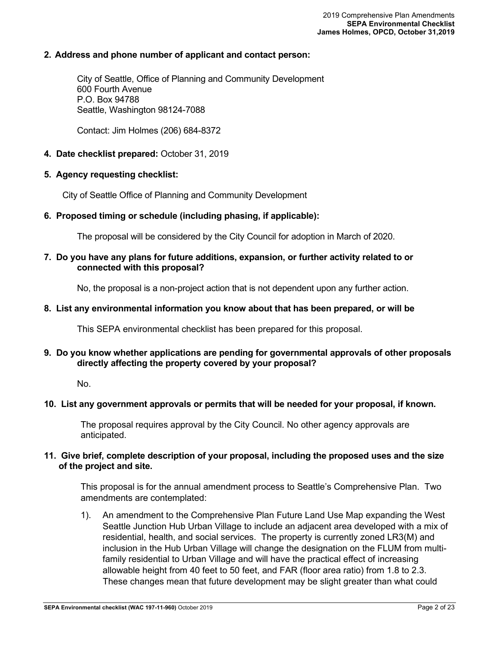### **2. Address and phone number of applicant and contact person:**

City of Seattle, Office of Planning and Community Development 600 Fourth Avenue P.O. Box 94788 Seattle, Washington 98124-7088

Contact: Jim Holmes (206) 684-8372

### **4. Date checklist prepared:** October 31, 2019

### **5. Agency requesting checklist:**

City of Seattle Office of Planning and Community Development

### **6. Proposed timing or schedule (including phasing, if applicable):**

The proposal will be considered by the City Council for adoption in March of 2020.

### **7. Do you have any plans for future additions, expansion, or further activity related to or connected with this proposal?**

No, the proposal is a non-project action that is not dependent upon any further action.

### **8. List any environmental information you know about that has been prepared, or will be**

This SEPA environmental checklist has been prepared for this proposal.

### **9. Do you know whether applications are pending for governmental approvals of other proposals directly affecting the property covered by your proposal?**

#### No.

### **10. List any government approvals or permits that will be needed for your proposal, if known.**

The proposal requires approval by the City Council. No other agency approvals are anticipated.

### **11. Give brief, complete description of your proposal, including the proposed uses and the size of the project and site.**

This proposal is for the annual amendment process to Seattle's Comprehensive Plan. Two amendments are contemplated:

1). An amendment to the Comprehensive Plan Future Land Use Map expanding the West Seattle Junction Hub Urban Village to include an adjacent area developed with a mix of residential, health, and social services. The property is currently zoned LR3(M) and inclusion in the Hub Urban Village will change the designation on the FLUM from multifamily residential to Urban Village and will have the practical effect of increasing allowable height from 40 feet to 50 feet, and FAR (floor area ratio) from 1.8 to 2.3. These changes mean that future development may be slight greater than what could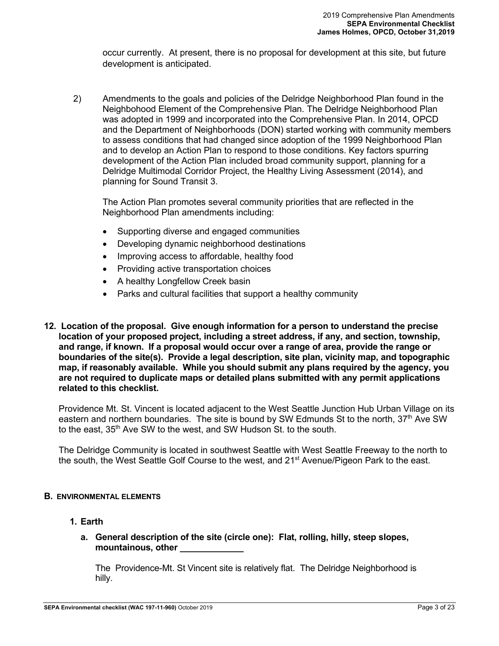occur currently. At present, there is no proposal for development at this site, but future development is anticipated.

2) Amendments to the goals and policies of the Delridge Neighborhood Plan found in the Neighbohood Element of the Comprehensive Plan. The Delridge Neighborhood Plan was adopted in 1999 and incorporated into the Comprehensive Plan. In 2014, OPCD and the Department of Neighborhoods (DON) started working with community members to assess conditions that had changed since adoption of the 1999 Neighborhood Plan and to develop an Action Plan to respond to those conditions. Key factors spurring development of the Action Plan included broad community support, planning for a Delridge Multimodal Corridor Project, the Healthy Living Assessment (2014), and planning for Sound Transit 3.

The Action Plan promotes several community priorities that are reflected in the Neighborhood Plan amendments including:

- Supporting diverse and engaged communities
- Developing dynamic neighborhood destinations
- Improving access to affordable, healthy food
- Providing active transportation choices
- A healthy Longfellow Creek basin
- Parks and cultural facilities that support a healthy community
- **12. Location of the proposal. Give enough information for a person to understand the precise location of your proposed project, including a street address, if any, and section, township, and range, if known. If a proposal would occur over a range of area, provide the range or boundaries of the site(s). Provide a legal description, site plan, vicinity map, and topographic map, if reasonably available. While you should submit any plans required by the agency, you are not required to duplicate maps or detailed plans submitted with any permit applications related to this checklist.**

Providence Mt. St. Vincent is located adjacent to the West Seattle Junction Hub Urban Village on its eastern and northern boundaries. The site is bound by SW Edmunds St to the north,  $37<sup>th</sup>$  Ave SW to the east, 35<sup>th</sup> Ave SW to the west, and SW Hudson St. to the south.

The Delridge Community is located in southwest Seattle with West Seattle Freeway to the north to the south, the West Seattle Golf Course to the west, and 21<sup>st</sup> Avenue/Pigeon Park to the east.

### **B. ENVIRONMENTAL ELEMENTS**

- **1. Earth**
	- **a. General description of the site (circle one): Flat, rolling, hilly, steep slopes, mountainous, other \_\_\_\_\_\_\_\_\_\_\_\_\_**

The Providence-Mt. St Vincent site is relatively flat. The Delridge Neighborhood is hilly.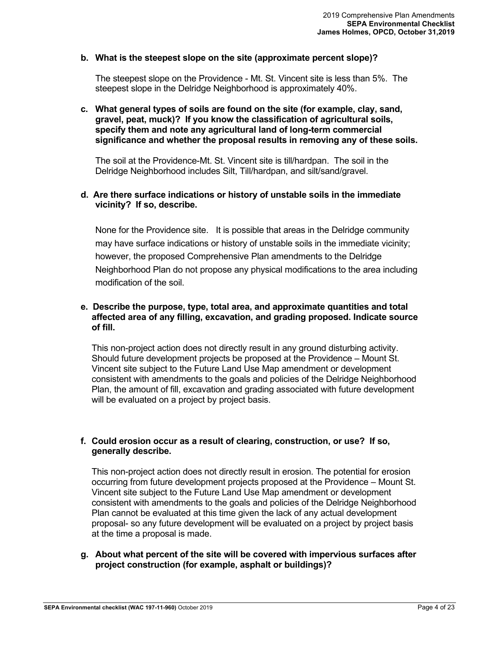## **b. What is the steepest slope on the site (approximate percent slope)?**

The steepest slope on the Providence - Mt. St. Vincent site is less than 5%. The steepest slope in the Delridge Neighborhood is approximately 40%.

### **c. What general types of soils are found on the site (for example, clay, sand, gravel, peat, muck)? If you know the classification of agricultural soils, specify them and note any agricultural land of long-term commercial significance and whether the proposal results in removing any of these soils.**

The soil at the Providence-Mt. St. Vincent site is till/hardpan. The soil in the Delridge Neighborhood includes Silt, Till/hardpan, and silt/sand/gravel.

## **d. Are there surface indications or history of unstable soils in the immediate vicinity? If so, describe.**

None for the Providence site. It is possible that areas in the Delridge community may have surface indications or history of unstable soils in the immediate vicinity; however, the proposed Comprehensive Plan amendments to the Delridge Neighborhood Plan do not propose any physical modifications to the area including modification of the soil.

### **e. Describe the purpose, type, total area, and approximate quantities and total affected area of any filling, excavation, and grading proposed. Indicate source of fill.**

This non-project action does not directly result in any ground disturbing activity. Should future development projects be proposed at the Providence – Mount St. Vincent site subject to the Future Land Use Map amendment or development consistent with amendments to the goals and policies of the Delridge Neighborhood Plan, the amount of fill, excavation and grading associated with future development will be evaluated on a project by project basis.

### **f. Could erosion occur as a result of clearing, construction, or use? If so, generally describe.**

This non-project action does not directly result in erosion. The potential for erosion occurring from future development projects proposed at the Providence – Mount St. Vincent site subject to the Future Land Use Map amendment or development consistent with amendments to the goals and policies of the Delridge Neighborhood Plan cannot be evaluated at this time given the lack of any actual development proposal- so any future development will be evaluated on a project by project basis at the time a proposal is made.

### **g. About what percent of the site will be covered with impervious surfaces after project construction (for example, asphalt or buildings)?**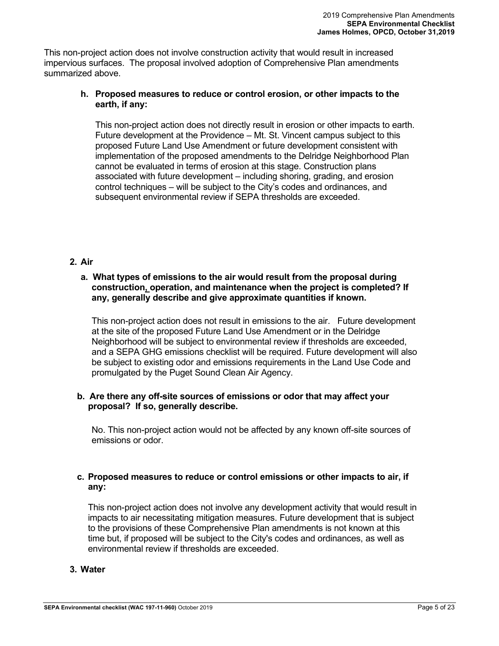This non-project action does not involve construction activity that would result in increased impervious surfaces. The proposal involved adoption of Comprehensive Plan amendments summarized above.

## **h. Proposed measures to reduce or control erosion, or other impacts to the earth, if any:**

This non-project action does not directly result in erosion or other impacts to earth. Future development at the Providence – Mt. St. Vincent campus subject to this proposed Future Land Use Amendment or future development consistent with implementation of the proposed amendments to the Delridge Neighborhood Plan cannot be evaluated in terms of erosion at this stage. Construction plans associated with future development – including shoring, grading, and erosion control techniques – will be subject to the City's codes and ordinances, and subsequent environmental review if SEPA thresholds are exceeded.

## **2. Air**

### **a. What types of emissions to the air would result from the proposal during construction, operation, and maintenance when the project is completed? If any, generally describe and give approximate quantities if known.**

This non-project action does not result in emissions to the air. Future development at the site of the proposed Future Land Use Amendment or in the Delridge Neighborhood will be subject to environmental review if thresholds are exceeded, and a SEPA GHG emissions checklist will be required. Future development will also be subject to existing odor and emissions requirements in the Land Use Code and promulgated by the Puget Sound Clean Air Agency.

### **b. Are there any off-site sources of emissions or odor that may affect your proposal? If so, generally describe.**

No. This non-project action would not be affected by any known off-site sources of emissions or odor.

## **c. Proposed measures to reduce or control emissions or other impacts to air, if any:**

This non-project action does not involve any development activity that would result in impacts to air necessitating mitigation measures. Future development that is subject to the provisions of these Comprehensive Plan amendments is not known at this time but, if proposed will be subject to the City's codes and ordinances, as well as environmental review if thresholds are exceeded.

## **3. Water**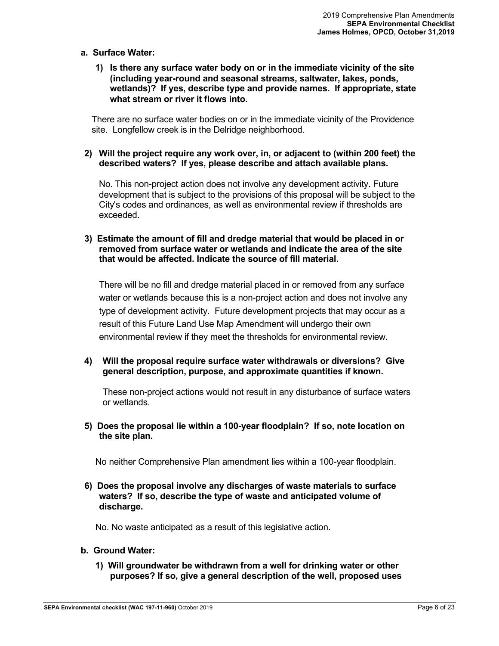### **a. Surface Water:**

**1) Is there any surface water body on or in the immediate vicinity of the site (including year-round and seasonal streams, saltwater, lakes, ponds, wetlands)? If yes, describe type and provide names. If appropriate, state what stream or river it flows into.**

There are no surface water bodies on or in the immediate vicinity of the Providence site. Longfellow creek is in the Delridge neighborhood.

### **2) Will the project require any work over, in, or adjacent to (within 200 feet) the described waters? If yes, please describe and attach available plans.**

No. This non-project action does not involve any development activity. Future development that is subject to the provisions of this proposal will be subject to the City's codes and ordinances, as well as environmental review if thresholds are exceeded.

## **3) Estimate the amount of fill and dredge material that would be placed in or removed from surface water or wetlands and indicate the area of the site that would be affected. Indicate the source of fill material.**

There will be no fill and dredge material placed in or removed from any surface water or wetlands because this is a non-project action and does not involve any type of development activity. Future development projects that may occur as a result of this Future Land Use Map Amendment will undergo their own environmental review if they meet the thresholds for environmental review.

### **4) Will the proposal require surface water withdrawals or diversions? Give general description, purpose, and approximate quantities if known.**

These non-project actions would not result in any disturbance of surface waters or wetlands.

## **5) Does the proposal lie within a 100-year floodplain? If so, note location on the site plan.**

No neither Comprehensive Plan amendment lies within a 100-year floodplain.

## **6) Does the proposal involve any discharges of waste materials to surface waters? If so, describe the type of waste and anticipated volume of discharge.**

No. No waste anticipated as a result of this legislative action.

## **b. Ground Water:**

**1) Will groundwater be withdrawn from a well for drinking water or other purposes? If so, give a general description of the well, proposed uses**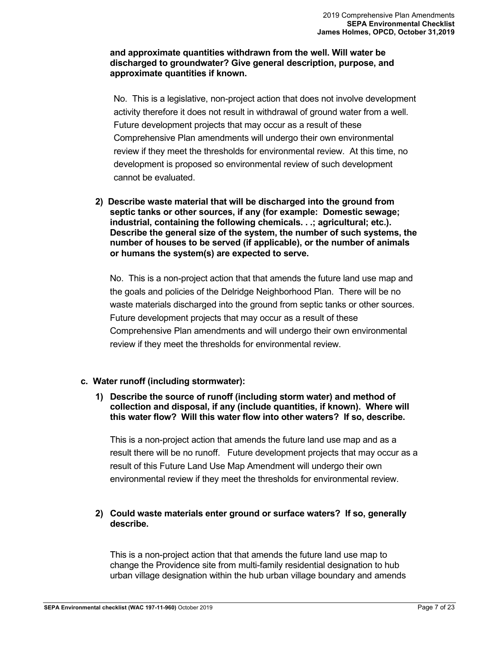## **and approximate quantities withdrawn from the well. Will water be discharged to groundwater? Give general description, purpose, and approximate quantities if known.**

No. This is a legislative, non-project action that does not involve development activity therefore it does not result in withdrawal of ground water from a well. Future development projects that may occur as a result of these Comprehensive Plan amendments will undergo their own environmental review if they meet the thresholds for environmental review. At this time, no development is proposed so environmental review of such development cannot be evaluated.

**2) Describe waste material that will be discharged into the ground from septic tanks or other sources, if any (for example: Domestic sewage; industrial, containing the following chemicals. . .; agricultural; etc.). Describe the general size of the system, the number of such systems, the number of houses to be served (if applicable), or the number of animals or humans the system(s) are expected to serve.**

No. This is a non-project action that that amends the future land use map and the goals and policies of the Delridge Neighborhood Plan. There will be no waste materials discharged into the ground from septic tanks or other sources. Future development projects that may occur as a result of these Comprehensive Plan amendments and will undergo their own environmental review if they meet the thresholds for environmental review.

## **c. Water runoff (including stormwater):**

**1) Describe the source of runoff (including storm water) and method of collection and disposal, if any (include quantities, if known). Where will this water flow? Will this water flow into other waters? If so, describe.**

This is a non-project action that amends the future land use map and as a result there will be no runoff. Future development projects that may occur as a result of this Future Land Use Map Amendment will undergo their own environmental review if they meet the thresholds for environmental review.

## **2) Could waste materials enter ground or surface waters? If so, generally describe.**

This is a non-project action that that amends the future land use map to change the Providence site from multi-family residential designation to hub urban village designation within the hub urban village boundary and amends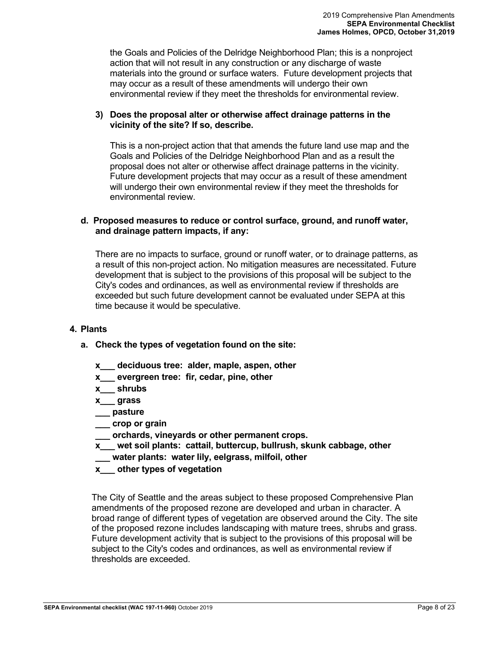the Goals and Policies of the Delridge Neighborhood Plan; this is a nonproject action that will not result in any construction or any discharge of waste materials into the ground or surface waters. Future development projects that may occur as a result of these amendments will undergo their own environmental review if they meet the thresholds for environmental review.

## **3) Does the proposal alter or otherwise affect drainage patterns in the vicinity of the site? If so, describe.**

This is a non-project action that that amends the future land use map and the Goals and Policies of the Delridge Neighborhood Plan and as a result the proposal does not alter or otherwise affect drainage patterns in the vicinity. Future development projects that may occur as a result of these amendment will undergo their own environmental review if they meet the thresholds for environmental review.

## **d. Proposed measures to reduce or control surface, ground, and runoff water, and drainage pattern impacts, if any:**

There are no impacts to surface, ground or runoff water, or to drainage patterns, as a result of this non-project action. No mitigation measures are necessitated. Future development that is subject to the provisions of this proposal will be subject to the City's codes and ordinances, as well as environmental review if thresholds are exceeded but such future development cannot be evaluated under SEPA at this time because it would be speculative.

## **4. Plants**

## **a. Check the types of vegetation found on the site:**

- **x\_\_\_ deciduous tree: alder, maple, aspen, other**
- **x\_\_\_ evergreen tree: fir, cedar, pine, other**
- **x\_\_\_ shrubs**
- **x\_\_\_ grass**
- **\_\_\_ pasture**
- **\_\_\_ crop or grain**
- **\_\_\_ orchards, vineyards or other permanent crops.**
- **x\_\_\_ wet soil plants: cattail, buttercup, bullrush, skunk cabbage, other**
- **\_\_\_ water plants: water lily, eelgrass, milfoil, other**
- **x\_\_\_ other types of vegetation**

The City of Seattle and the areas subject to these proposed Comprehensive Plan amendments of the proposed rezone are developed and urban in character. A broad range of different types of vegetation are observed around the City. The site of the proposed rezone includes landscaping with mature trees, shrubs and grass. Future development activity that is subject to the provisions of this proposal will be subject to the City's codes and ordinances, as well as environmental review if thresholds are exceeded.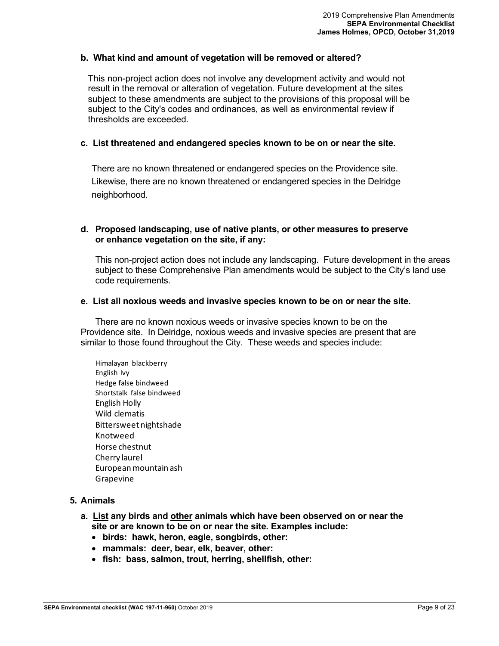## **b. What kind and amount of vegetation will be removed or altered?**

This non-project action does not involve any development activity and would not result in the removal or alteration of vegetation. Future development at the sites subject to these amendments are subject to the provisions of this proposal will be subject to the City's codes and ordinances, as well as environmental review if thresholds are exceeded.

### **c. List threatened and endangered species known to be on or near the site.**

There are no known threatened or endangered species on the Providence site. Likewise, there are no known threatened or endangered species in the Delridge neighborhood.

### **d. Proposed landscaping, use of native plants, or other measures to preserve or enhance vegetation on the site, if any:**

This non-project action does not include any landscaping. Future development in the areas subject to these Comprehensive Plan amendments would be subject to the City's land use code requirements.

### **e. List all noxious weeds and invasive species known to be on or near the site.**

There are no known noxious weeds or invasive species known to be on the Providence site. In Delridge, noxious weeds and invasive species are present that are similar to those found throughout the City. These weeds and species include:

Himalayan blackberry English Ivy Hedge false bindweed Shortstalk false bindweed English Holly Wild clematis Bittersweet nightshade Knotweed Horse chestnut Cherry laurel European mountain ash Grapevine

### **5. Animals**

- **a. List any birds and other animals which have been observed on or near the site or are known to be on or near the site. Examples include:**
	- **birds: hawk, heron, eagle, songbirds, other:**
	- **mammals: deer, bear, elk, beaver, other:**
	- **fish: bass, salmon, trout, herring, shellfish, other:**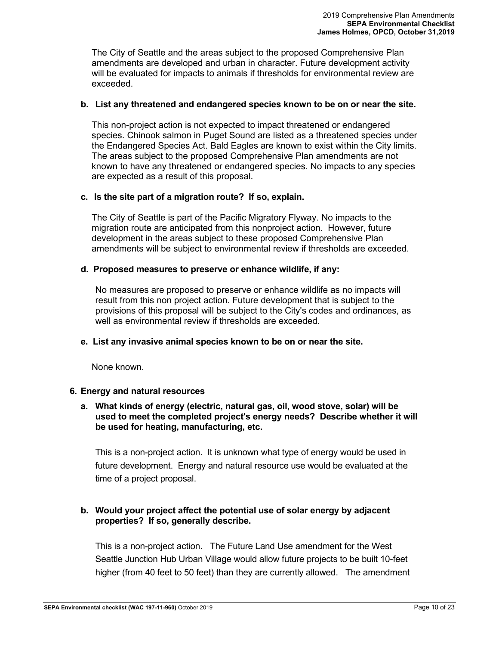The City of Seattle and the areas subject to the proposed Comprehensive Plan amendments are developed and urban in character. Future development activity will be evaluated for impacts to animals if thresholds for environmental review are exceeded.

### **b. List any threatened and endangered species known to be on or near the site.**

This non-project action is not expected to impact threatened or endangered species. Chinook salmon in Puget Sound are listed as a threatened species under the Endangered Species Act. Bald Eagles are known to exist within the City limits. The areas subject to the proposed Comprehensive Plan amendments are not known to have any threatened or endangered species. No impacts to any species are expected as a result of this proposal.

### **c. Is the site part of a migration route? If so, explain.**

The City of Seattle is part of the Pacific Migratory Flyway. No impacts to the migration route are anticipated from this nonproject action. However, future development in the areas subject to these proposed Comprehensive Plan amendments will be subject to environmental review if thresholds are exceeded.

### **d. Proposed measures to preserve or enhance wildlife, if any:**

No measures are proposed to preserve or enhance wildlife as no impacts will result from this non project action. Future development that is subject to the provisions of this proposal will be subject to the City's codes and ordinances, as well as environmental review if thresholds are exceeded.

### **e. List any invasive animal species known to be on or near the site.**

None known.

### **6. Energy and natural resources**

## **a. What kinds of energy (electric, natural gas, oil, wood stove, solar) will be used to meet the completed project's energy needs? Describe whether it will be used for heating, manufacturing, etc.**

This is a non-project action. It is unknown what type of energy would be used in future development. Energy and natural resource use would be evaluated at the time of a project proposal.

## **b. Would your project affect the potential use of solar energy by adjacent properties? If so, generally describe.**

This is a non-project action. The Future Land Use amendment for the West Seattle Junction Hub Urban Village would allow future projects to be built 10-feet higher (from 40 feet to 50 feet) than they are currently allowed. The amendment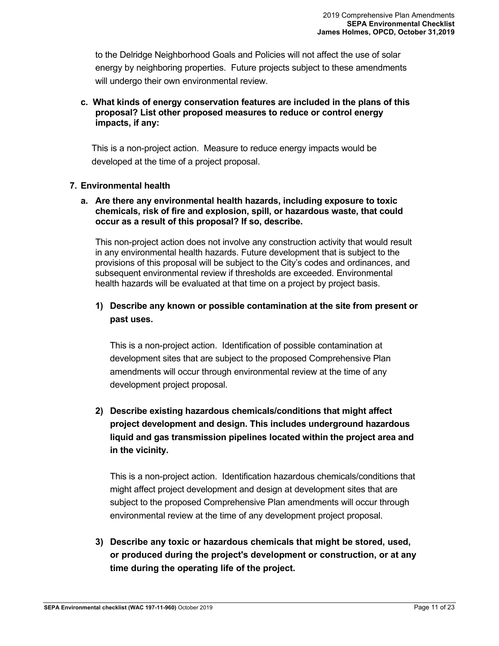to the Delridge Neighborhood Goals and Policies will not affect the use of solar energy by neighboring properties. Future projects subject to these amendments will undergo their own environmental review.

## **c. What kinds of energy conservation features are included in the plans of this proposal? List other proposed measures to reduce or control energy impacts, if any:**

This is a non-project action. Measure to reduce energy impacts would be developed at the time of a project proposal.

## **7. Environmental health**

## **a. Are there any environmental health hazards, including exposure to toxic chemicals, risk of fire and explosion, spill, or hazardous waste, that could occur as a result of this proposal? If so, describe.**

This non-project action does not involve any construction activity that would result in any environmental health hazards. Future development that is subject to the provisions of this proposal will be subject to the City's codes and ordinances, and subsequent environmental review if thresholds are exceeded. Environmental health hazards will be evaluated at that time on a project by project basis.

## **1) Describe any known or possible contamination at the site from present or past uses.**

This is a non-project action. Identification of possible contamination at development sites that are subject to the proposed Comprehensive Plan amendments will occur through environmental review at the time of any development project proposal.

## **2) Describe existing hazardous chemicals/conditions that might affect project development and design. This includes underground hazardous liquid and gas transmission pipelines located within the project area and in the vicinity.**

This is a non-project action. Identification hazardous chemicals/conditions that might affect project development and design at development sites that are subject to the proposed Comprehensive Plan amendments will occur through environmental review at the time of any development project proposal.

**3) Describe any toxic or hazardous chemicals that might be stored, used, or produced during the project's development or construction, or at any time during the operating life of the project.**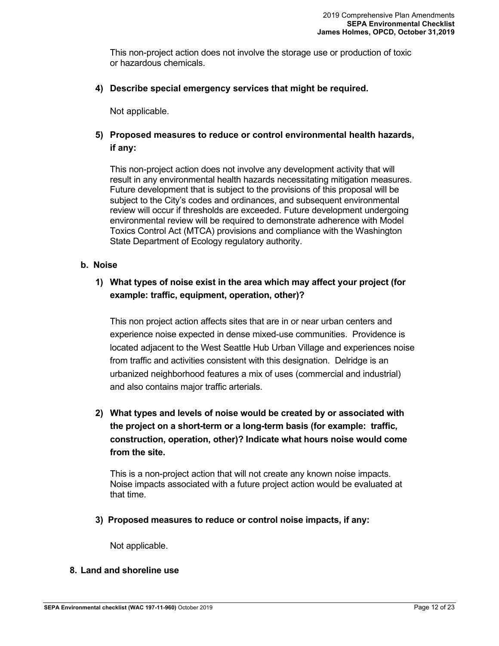This non-project action does not involve the storage use or production of toxic or hazardous chemicals.

## **4) Describe special emergency services that might be required.**

Not applicable.

## **5) Proposed measures to reduce or control environmental health hazards, if any:**

This non-project action does not involve any development activity that will result in any environmental health hazards necessitating mitigation measures. Future development that is subject to the provisions of this proposal will be subject to the City's codes and ordinances, and subsequent environmental review will occur if thresholds are exceeded. Future development undergoing environmental review will be required to demonstrate adherence with Model Toxics Control Act (MTCA) provisions and compliance with the Washington State Department of Ecology regulatory authority.

## **b. Noise**

## **1) What types of noise exist in the area which may affect your project (for example: traffic, equipment, operation, other)?**

This non project action affects sites that are in or near urban centers and experience noise expected in dense mixed-use communities. Providence is located adjacent to the West Seattle Hub Urban Village and experiences noise from traffic and activities consistent with this designation. Delridge is an urbanized neighborhood features a mix of uses (commercial and industrial) and also contains major traffic arterials.

## **2) What types and levels of noise would be created by or associated with the project on a short-term or a long-term basis (for example: traffic, construction, operation, other)? Indicate what hours noise would come from the site.**

This is a non-project action that will not create any known noise impacts. Noise impacts associated with a future project action would be evaluated at that time.

**3) Proposed measures to reduce or control noise impacts, if any:**

Not applicable.

## **8. Land and shoreline use**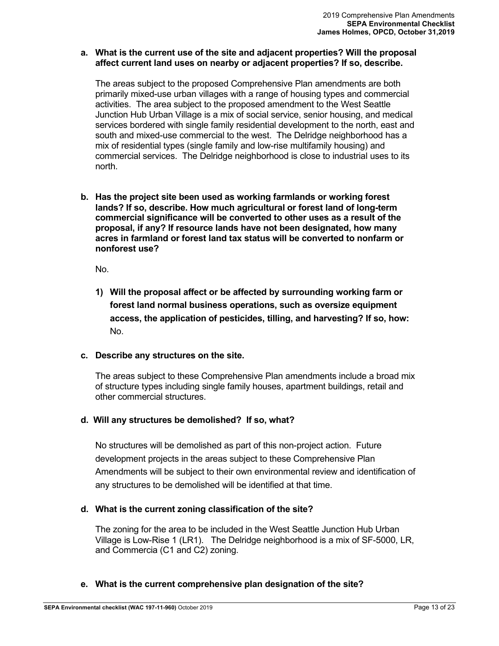### **a. What is the current use of the site and adjacent properties? Will the proposal affect current land uses on nearby or adjacent properties? If so, describe.**

The areas subject to the proposed Comprehensive Plan amendments are both primarily mixed-use urban villages with a range of housing types and commercial activities. The area subject to the proposed amendment to the West Seattle Junction Hub Urban Village is a mix of social service, senior housing, and medical services bordered with single family residential development to the north, east and south and mixed-use commercial to the west. The Delridge neighborhood has a mix of residential types (single family and low-rise multifamily housing) and commercial services. The Delridge neighborhood is close to industrial uses to its north.

**b. Has the project site been used as working farmlands or working forest lands? If so, describe. How much agricultural or forest land of long-term commercial significance will be converted to other uses as a result of the proposal, if any? If resource lands have not been designated, how many acres in farmland or forest land tax status will be converted to nonfarm or nonforest use?**

No.

**1) Will the proposal affect or be affected by surrounding working farm or forest land normal business operations, such as oversize equipment access, the application of pesticides, tilling, and harvesting? If so, how:** No.

## **c. Describe any structures on the site.**

The areas subject to these Comprehensive Plan amendments include a broad mix of structure types including single family houses, apartment buildings, retail and other commercial structures.

## **d. Will any structures be demolished? If so, what?**

No structures will be demolished as part of this non-project action. Future development projects in the areas subject to these Comprehensive Plan Amendments will be subject to their own environmental review and identification of any structures to be demolished will be identified at that time.

## **d. What is the current zoning classification of the site?**

The zoning for the area to be included in the West Seattle Junction Hub Urban Village is Low-Rise 1 (LR1). The Delridge neighborhood is a mix of SF-5000, LR, and Commercia (C1 and C2) zoning.

## **e. What is the current comprehensive plan designation of the site?**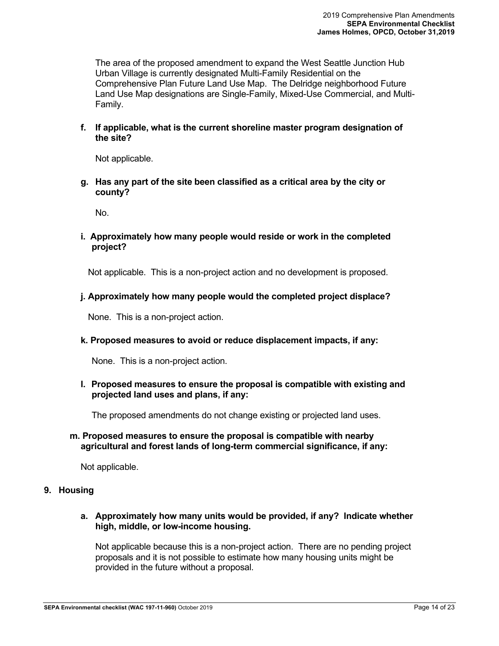The area of the proposed amendment to expand the West Seattle Junction Hub Urban Village is currently designated Multi-Family Residential on the Comprehensive Plan Future Land Use Map. The Delridge neighborhood Future Land Use Map designations are Single-Family, Mixed-Use Commercial, and Multi-Family.

**f. If applicable, what is the current shoreline master program designation of the site?**

Not applicable.

**g. Has any part of the site been classified as a critical area by the city or county?** 

No.

**i. Approximately how many people would reside or work in the completed project?**

Not applicable. This is a non-project action and no development is proposed.

### **j. Approximately how many people would the completed project displace?**

None. This is a non-project action.

**k. Proposed measures to avoid or reduce displacement impacts, if any:**

None. This is a non-project action.

**l. Proposed measures to ensure the proposal is compatible with existing and projected land uses and plans, if any:**

The proposed amendments do not change existing or projected land uses.

### **m. Proposed measures to ensure the proposal is compatible with nearby agricultural and forest lands of long-term commercial significance, if any:**

Not applicable.

## **9. Housing**

**a. Approximately how many units would be provided, if any? Indicate whether high, middle, or low-income housing.**

Not applicable because this is a non-project action. There are no pending project proposals and it is not possible to estimate how many housing units might be provided in the future without a proposal.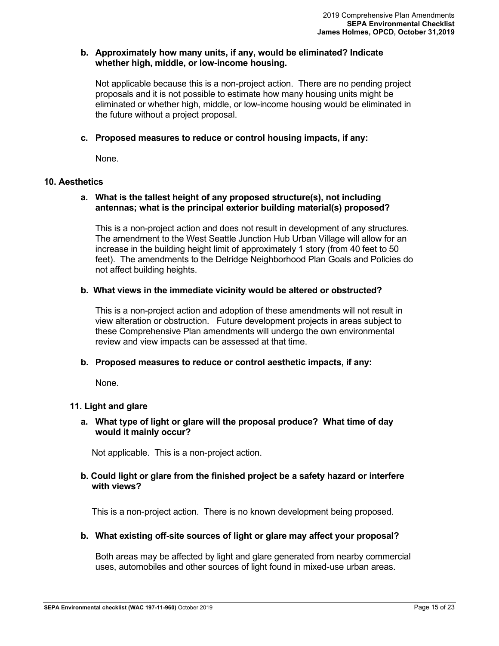### **b. Approximately how many units, if any, would be eliminated? Indicate whether high, middle, or low-income housing.**

Not applicable because this is a non-project action. There are no pending project proposals and it is not possible to estimate how many housing units might be eliminated or whether high, middle, or low-income housing would be eliminated in the future without a project proposal.

### **c. Proposed measures to reduce or control housing impacts, if any:**

None.

### **10. Aesthetics**

### **a. What is the tallest height of any proposed structure(s), not including antennas; what is the principal exterior building material(s) proposed?**

This is a non-project action and does not result in development of any structures. The amendment to the West Seattle Junction Hub Urban Village will allow for an increase in the building height limit of approximately 1 story (from 40 feet to 50 feet). The amendments to the Delridge Neighborhood Plan Goals and Policies do not affect building heights.

### **b. What views in the immediate vicinity would be altered or obstructed?**

This is a non-project action and adoption of these amendments will not result in view alteration or obstruction. Future development projects in areas subject to these Comprehensive Plan amendments will undergo the own environmental review and view impacts can be assessed at that time.

### **b. Proposed measures to reduce or control aesthetic impacts, if any:**

None.

## **11. Light and glare**

### **a. What type of light or glare will the proposal produce? What time of day would it mainly occur?**

Not applicable. This is a non-project action.

### **b. Could light or glare from the finished project be a safety hazard or interfere with views?**

This is a non-project action. There is no known development being proposed.

### **b. What existing off-site sources of light or glare may affect your proposal?**

Both areas may be affected by light and glare generated from nearby commercial uses, automobiles and other sources of light found in mixed-use urban areas.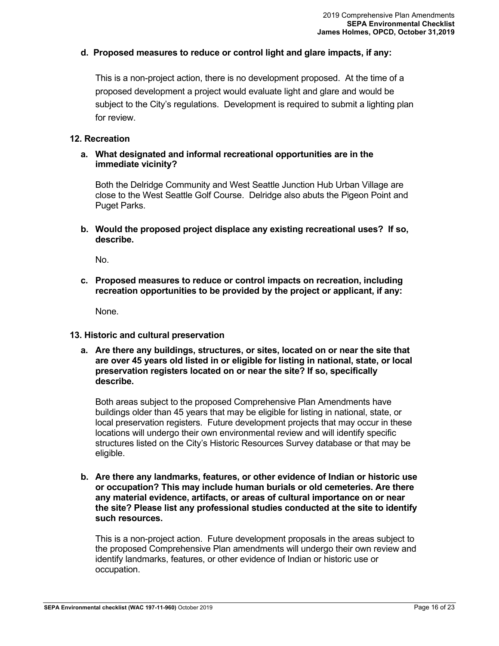### **d. Proposed measures to reduce or control light and glare impacts, if any:**

This is a non-project action, there is no development proposed. At the time of a proposed development a project would evaluate light and glare and would be subject to the City's regulations. Development is required to submit a lighting plan for review.

### **12. Recreation**

## **a. What designated and informal recreational opportunities are in the immediate vicinity?**

Both the Delridge Community and West Seattle Junction Hub Urban Village are close to the West Seattle Golf Course. Delridge also abuts the Pigeon Point and Puget Parks.

**b. Would the proposed project displace any existing recreational uses? If so, describe.**

No.

**c. Proposed measures to reduce or control impacts on recreation, including recreation opportunities to be provided by the project or applicant, if any:**

None.

### **13. Historic and cultural preservation**

**a. Are there any buildings, structures, or sites, located on or near the site that are over 45 years old listed in or eligible for listing in national, state, or local preservation registers located on or near the site? If so, specifically describe.**

Both areas subject to the proposed Comprehensive Plan Amendments have buildings older than 45 years that may be eligible for listing in national, state, or local preservation registers. Future development projects that may occur in these locations will undergo their own environmental review and will identify specific structures listed on the City's Historic Resources Survey database or that may be eligible.

**b. Are there any landmarks, features, or other evidence of Indian or historic use or occupation? This may include human burials or old cemeteries. Are there any material evidence, artifacts, or areas of cultural importance on or near the site? Please list any professional studies conducted at the site to identify such resources.**

This is a non-project action. Future development proposals in the areas subject to the proposed Comprehensive Plan amendments will undergo their own review and identify landmarks, features, or other evidence of Indian or historic use or occupation.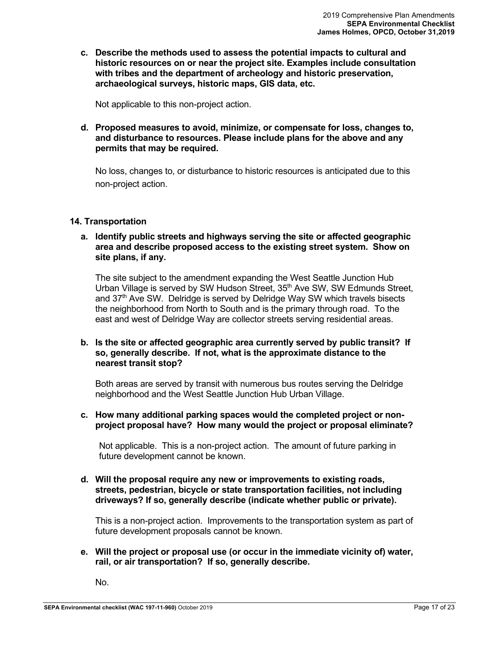**c. Describe the methods used to assess the potential impacts to cultural and historic resources on or near the project site. Examples include consultation with tribes and the department of archeology and historic preservation, archaeological surveys, historic maps, GIS data, etc.** 

Not applicable to this non-project action.

**d. Proposed measures to avoid, minimize, or compensate for loss, changes to, and disturbance to resources. Please include plans for the above and any permits that may be required.**

No loss, changes to, or disturbance to historic resources is anticipated due to this non-project action.

## **14. Transportation**

**a. Identify public streets and highways serving the site or affected geographic area and describe proposed access to the existing street system. Show on site plans, if any.**

The site subject to the amendment expanding the West Seattle Junction Hub Urban Village is served by SW Hudson Street, 35<sup>th</sup> Ave SW, SW Edmunds Street, and 37<sup>th</sup> Ave SW. Delridge is served by Delridge Way SW which travels bisects the neighborhood from North to South and is the primary through road. To the east and west of Delridge Way are collector streets serving residential areas.

## **b. Is the site or affected geographic area currently served by public transit? If so, generally describe. If not, what is the approximate distance to the nearest transit stop?**

Both areas are served by transit with numerous bus routes serving the Delridge neighborhood and the West Seattle Junction Hub Urban Village.

**c. How many additional parking spaces would the completed project or nonproject proposal have? How many would the project or proposal eliminate?**

Not applicable. This is a non-project action. The amount of future parking in future development cannot be known.

**d. Will the proposal require any new or improvements to existing roads, streets, pedestrian, bicycle or state transportation facilities, not including driveways? If so, generally describe (indicate whether public or private).**

This is a non-project action. Improvements to the transportation system as part of future development proposals cannot be known.

**e. Will the project or proposal use (or occur in the immediate vicinity of) water, rail, or air transportation? If so, generally describe.**

No.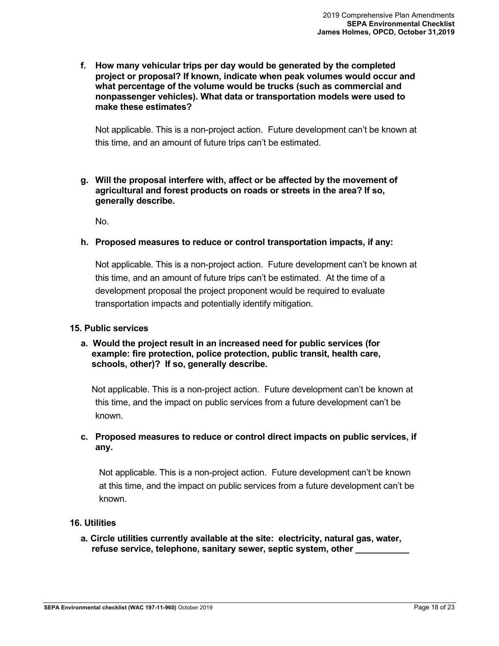**f. How many vehicular trips per day would be generated by the completed project or proposal? If known, indicate when peak volumes would occur and what percentage of the volume would be trucks (such as commercial and nonpassenger vehicles). What data or transportation models were used to make these estimates?**

Not applicable. This is a non-project action. Future development can't be known at this time, and an amount of future trips can't be estimated.

### **g. Will the proposal interfere with, affect or be affected by the movement of agricultural and forest products on roads or streets in the area? If so, generally describe.**

No.

### **h. Proposed measures to reduce or control transportation impacts, if any:**

Not applicable. This is a non-project action. Future development can't be known at this time, and an amount of future trips can't be estimated. At the time of a development proposal the project proponent would be required to evaluate transportation impacts and potentially identify mitigation.

### **15. Public services**

## **a. Would the project result in an increased need for public services (for example: fire protection, police protection, public transit, health care, schools, other)? If so, generally describe.**

Not applicable. This is a non-project action. Future development can't be known at this time, and the impact on public services from a future development can't be known.

## **c. Proposed measures to reduce or control direct impacts on public services, if any.**

Not applicable. This is a non-project action. Future development can't be known at this time, and the impact on public services from a future development can't be known.

## **16. Utilities**

**a. Circle utilities currently available at the site: electricity, natural gas, water, refuse service, telephone, sanitary sewer, septic system, other \_\_\_\_\_\_\_\_\_\_\_**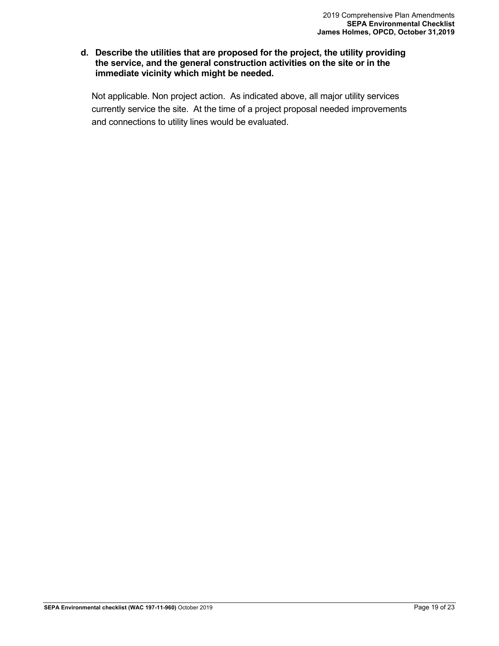### **d. Describe the utilities that are proposed for the project, the utility providing the service, and the general construction activities on the site or in the immediate vicinity which might be needed.**

Not applicable. Non project action. As indicated above, all major utility services currently service the site. At the time of a project proposal needed improvements and connections to utility lines would be evaluated.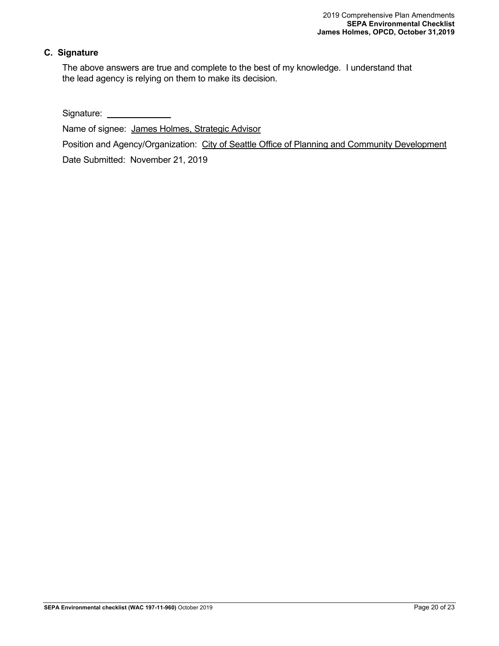## **C. Signature**

The above answers are true and complete to the best of my knowledge. I understand that the lead agency is relying on them to make its decision.

Signature:

Name of signee: James Holmes, Strategic Advisor

Position and Agency/Organization: City of Seattle Office of Planning and Community Development

Date Submitted: November 21, 2019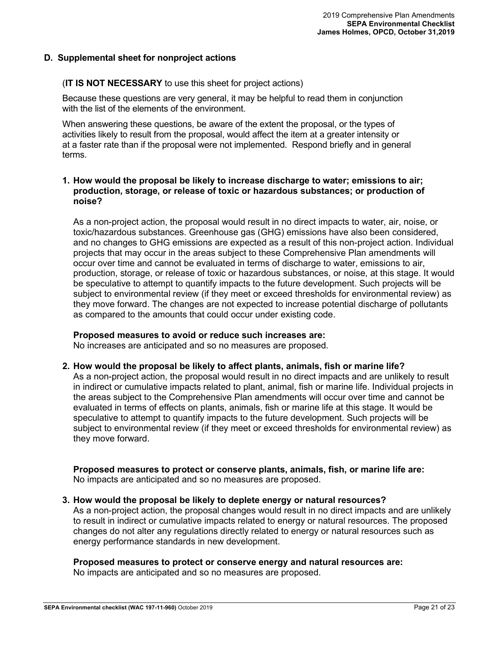## <span id="page-20-0"></span>**D. Supplemental sheet for nonproject actions**

## (**IT IS NOT NECESSARY** to use this sheet for project actions)

Because these questions are very general, it may be helpful to read them in conjunction with the list of the elements of the environment.

When answering these questions, be aware of the extent the proposal, or the types of activities likely to result from the proposal, would affect the item at a greater intensity or at a faster rate than if the proposal were not implemented. Respond briefly and in general terms.

### **1. How would the proposal be likely to increase discharge to water; emissions to air; production, storage, or release of toxic or hazardous substances; or production of noise?**

As a non-project action, the proposal would result in no direct impacts to water, air, noise, or toxic/hazardous substances. Greenhouse gas (GHG) emissions have also been considered, and no changes to GHG emissions are expected as a result of this non-project action. Individual projects that may occur in the areas subject to these Comprehensive Plan amendments will occur over time and cannot be evaluated in terms of discharge to water, emissions to air, production, storage, or release of toxic or hazardous substances, or noise, at this stage. It would be speculative to attempt to quantify impacts to the future development. Such projects will be subject to environmental review (if they meet or exceed thresholds for environmental review) as they move forward. The changes are not expected to increase potential discharge of pollutants as compared to the amounts that could occur under existing code.

### **Proposed measures to avoid or reduce such increases are:**

No increases are anticipated and so no measures are proposed.

### **2. How would the proposal be likely to affect plants, animals, fish or marine life?**

As a non-project action, the proposal would result in no direct impacts and are unlikely to result in indirect or cumulative impacts related to plant, animal, fish or marine life. Individual projects in the areas subject to the Comprehensive Plan amendments will occur over time and cannot be evaluated in terms of effects on plants, animals, fish or marine life at this stage. It would be speculative to attempt to quantify impacts to the future development. Such projects will be subject to environmental review (if they meet or exceed thresholds for environmental review) as they move forward.

#### **Proposed measures to protect or conserve plants, animals, fish, or marine life are:** No impacts are anticipated and so no measures are proposed.

### **3. How would the proposal be likely to deplete energy or natural resources?**

As a non-project action, the proposal changes would result in no direct impacts and are unlikely to result in indirect or cumulative impacts related to energy or natural resources. The proposed changes do not alter any regulations directly related to energy or natural resources such as energy performance standards in new development.

### **Proposed measures to protect or conserve energy and natural resources are:**

No impacts are anticipated and so no measures are proposed.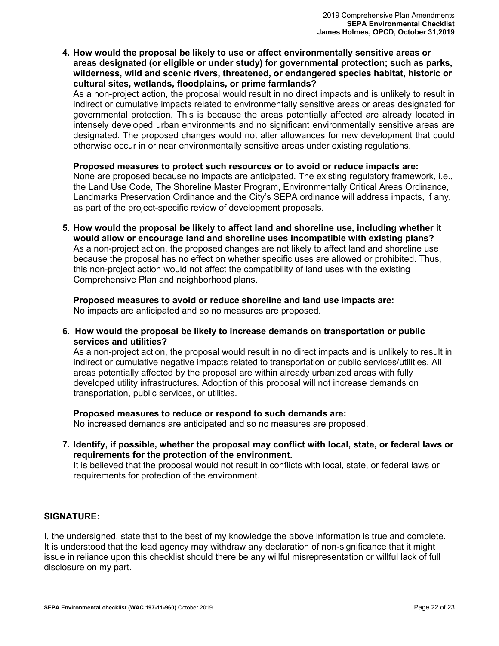**4. How would the proposal be likely to use or affect environmentally sensitive areas or areas designated (or eligible or under study) for governmental protection; such as parks, wilderness, wild and scenic rivers, threatened, or endangered species habitat, historic or cultural sites, wetlands, floodplains, or prime farmlands?**

As a non-project action, the proposal would result in no direct impacts and is unlikely to result in indirect or cumulative impacts related to environmentally sensitive areas or areas designated for governmental protection. This is because the areas potentially affected are already located in intensely developed urban environments and no significant environmentally sensitive areas are designated. The proposed changes would not alter allowances for new development that could otherwise occur in or near environmentally sensitive areas under existing regulations.

### **Proposed measures to protect such resources or to avoid or reduce impacts are:**

None are proposed because no impacts are anticipated. The existing regulatory framework, i.e., the Land Use Code, The Shoreline Master Program, Environmentally Critical Areas Ordinance, Landmarks Preservation Ordinance and the City's SEPA ordinance will address impacts, if any, as part of the project-specific review of development proposals.

**5. How would the proposal be likely to affect land and shoreline use, including whether it would allow or encourage land and shoreline uses incompatible with existing plans?** As a non-project action, the proposed changes are not likely to affect land and shoreline use because the proposal has no effect on whether specific uses are allowed or prohibited. Thus, this non-project action would not affect the compatibility of land uses with the existing Comprehensive Plan and neighborhood plans.

**Proposed measures to avoid or reduce shoreline and land use impacts are:** No impacts are anticipated and so no measures are proposed.

**6. How would the proposal be likely to increase demands on transportation or public services and utilities?**

As a non-project action, the proposal would result in no direct impacts and is unlikely to result in indirect or cumulative negative impacts related to transportation or public services/utilities. All areas potentially affected by the proposal are within already urbanized areas with fully developed utility infrastructures. Adoption of this proposal will not increase demands on transportation, public services, or utilities.

### **Proposed measures to reduce or respond to such demands are:**

No increased demands are anticipated and so no measures are proposed.

**7. Identify, if possible, whether the proposal may conflict with local, state, or federal laws or requirements for the protection of the environment.** It is believed that the proposal would not result in conflicts with local, state, or federal laws or requirements for protection of the environment.

## **SIGNATURE:**

I, the undersigned, state that to the best of my knowledge the above information is true and complete. It is understood that the lead agency may withdraw any declaration of non-significance that it might issue in reliance upon this checklist should there be any willful misrepresentation or willful lack of full disclosure on my part.